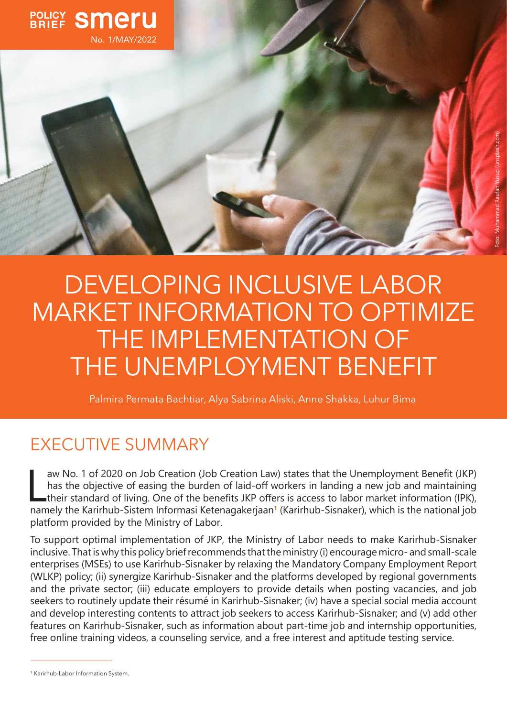

DEVELOPING INCLUSIVE LABOR MARKET INFORMATION TO OPTIMIZE THE IMPLEMENTATION OF THE UNEMPLOYMENT BENEFIT

Palmira Permata Bachtiar, Alya Sabrina Aliski, Anne Shakka, Luhur Bima

# EXECUTIVE SUMMARY

aw No. 1 of 2020 on Job Creation (Job Creation Law) states that the Unemployment Benefit (JKP)<br>has the objective of easing the burden of laid-off workers in landing a new job and maintaining<br>their standard of living. One o aw No. 1 of 2020 on Job Creation (Job Creation Law) states that the Unemployment Benefit (JKP) has the objective of easing the burden of laid-off workers in landing a new job and maintaining their standard of living. One of the benefits JKP offers is access to labor market information (IPK), platform provided by the Ministry of Labor.

To support optimal implementation of JKP, the Ministry of Labor needs to make Karirhub-Sisnaker inclusive. That is why this policy brief recommends that the ministry (i) encourage micro- and small-scale enterprises (MSEs) to use Karirhub-Sisnaker by relaxing the Mandatory Company Employment Report (WLKP) policy; (ii) synergize Karirhub-Sisnaker and the platforms developed by regional governments and the private sector; (iii) educate employers to provide details when posting vacancies, and job seekers to routinely update their résumé in Karirhub-Sisnaker; (iv) have a special social media account and develop interesting contents to attract job seekers to access Karirhub-Sisnaker; and (v) add other features on Karirhub-Sisnaker, such as information about part-time job and internship opportunities, free online training videos, a counseling service, and a free interest and aptitude testing service.

**<sup>1</sup>** Karirhub-Labor Information System.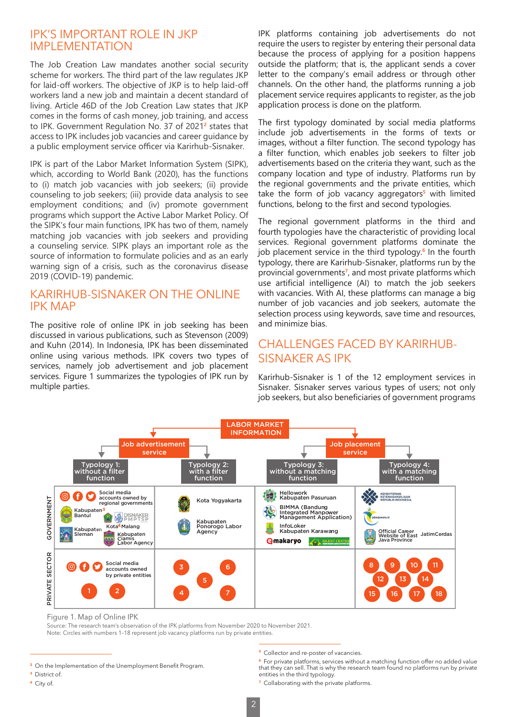## IPK'S IMPORTANT ROLE IN JKP IMPLEMENTATION

The Job Creation Law mandates another social security scheme for workers. The third part of the law regulates JKP for laid-off workers. The objective of JKP is to help laid-off workers land a new job and maintain a decent standard of living. Article 46D of the Job Creation Law states that JKP comes in the forms of cash money, job training, and access to IPK. Government Regulation No. 37 of 2021**<sup>2</sup>** states that access to IPK includes job vacancies and career guidance by a public employment service officer via Karirhub-Sisnaker.

IPK is part of the Labor Market Information System (SIPK), which, according to World Bank (2020), has the functions to (i) match job vacancies with job seekers; (ii) provide counseling to job seekers; (iii) provide data analysis to see employment conditions; and (iv) promote government programs which support the Active Labor Market Policy. Of the SIPK's four main functions, IPK has two of them, namely matching job vacancies with job seekers and providing a counseling service. SIPK plays an important role as the source of information to formulate policies and as an early warning sign of a crisis, such as the coronavirus disease 2019 (COVID-19) pandemic.

## KARIRHUB-SISNAKER ON THE ONLINE IPK MAP

The positive role of online IPK in job seeking has been discussed in various publications, such as Stevenson (2009) and Kuhn (2014). In Indonesia, IPK has been disseminated online using various methods. IPK covers two types of services, namely job advertisement and job placement services. Figure 1 summarizes the typologies of IPK run by multiple parties.

IPK platforms containing job advertisements do not require the users to register by entering their personal data because the process of applying for a position happens outside the platform; that is, the applicant sends a cover letter to the company's email address or through other channels. On the other hand, the platforms running a job placement service requires applicants to register, as the job application process is done on the platform.

The first typology dominated by social media platforms include job advertisements in the forms of texts or images, without a filter function. The second typology has a filter function, which enables job seekers to filter job advertisements based on the criteria they want, such as the company location and type of industry. Platforms run by the regional governments and the private entities, which take the form of job vacancy aggregators**<sup>5</sup>** with limited functions, belong to the first and second typologies.

d<br>al<br>h The regional government platforms in the third and fourth typologies have the characteristic of providing local services. Regional government platforms dominate the job placement service in the third typology.**<sup>6</sup>** In the fourth typology, there are Karirhub-Sisnaker, platforms run by the provincial governments**<sup>7</sup>** , and most private platforms which use artificial intelligence (AI) to match the job seekers with vacancies. With AI, these platforms can manage a big number of job vacancies and job seekers, automate the selection process using keywords, save time and resources, and minimize bias.

## CHALLENGES FACED BY KARIRHUB-SISNAKER AS IPK

Karirhub-Sisnaker is 1 of the 12 employment services in Sisnaker. Sisnaker serves various types of users; not only job seekers, but also beneficiaries of government programs



Figure 1. Map of Online IPK

Source: The research team's observation of the IPK platforms from November 2020 to November 2021. Note: Circles with numbers 1–18 represent job vacancy platforms run by private entities.

**<sup>7</sup>** Collaborating with the private platforms.

**<sup>2</sup>** On the Implementation of the Unemployment Benefit Program.

**<sup>3</sup>** District of.

**<sup>4</sup>** City of.

**<sup>5</sup>** Collector and re-poster of vacancies.

**<sup>6</sup>** For private platforms, services without a matching function offer no added value that they can sell. That is why the research team found no platforms run by private entities in the third typology.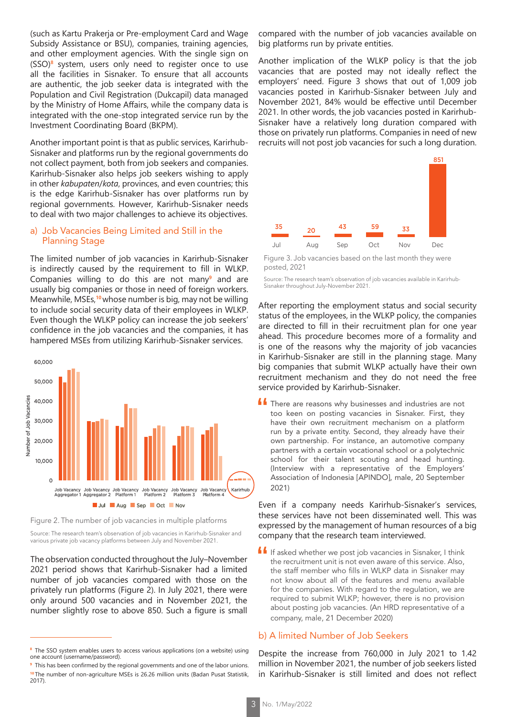(such as Kartu Prakerja or Pre-employment Card and Wage Subsidy Assistance or BSU), companies, training agencies, and other employment agencies. With the single sign on (SSO)**<sup>8</sup>** system, users only need to register once to use all the facilities in Sisnaker. To ensure that all accounts are authentic, the job seeker data is integrated with the Population and Civil Registration (Dukcapil) data managed by the Ministry of Home Affairs, while the company data is integrated with the one-stop integrated service run by the Investment Coordinating Board (BKPM).

Another important point is that as public services, Karirhub-Sisnaker and platforms run by the regional governments do not collect payment, both from job seekers and companies. Karirhub-Sisnaker also helps job seekers wishing to apply in other *kabupaten*/*kota*, provinces, and even countries; this is the edge Karirhub-Sisnaker has over platforms run by regional governments. However, Karirhub-Sisnaker needs to deal with two major challenges to achieve its objectives.

#### a) Job Vacancies Being Limited and Still in the Planning Stage

The limited number of job vacancies in Karirhub-Sisnaker is indirectly caused by the requirement to fill in WLKP. Companies willing to do this are not many**<sup>9</sup>** and are usually big companies or those in need of foreign workers. Meanwhile, MSEs,**<sup>10</sup>**whose number is big, may not be willing to include social security data of their employees in WLKP. Even though the WLKP policy can increase the job seekers' confidence in the job vacancies and the companies, it has hampered MSEs from utilizing Karirhub-Sisnaker services.



Figure 2. The number of job vacancies in multiple platforms

Source: The research team's observation of job vacancies in Karirhub-Sisnaker and various private job vacancy platforms between July and November 2021.

The observation conducted throughout the July–November 2021 period shows that Karirhub-Sisnaker had a limited number of job vacancies compared with those on the privately run platforms (Figure 2). In July 2021, there were only around 500 vacancies and in November 2021, the number slightly rose to above 850. Such a figure is small compared with the number of job vacancies available on big platforms run by private entities.

employers' need. Figure 3 shows that out of 1,009 job Another implication of the WLKP policy is that the job vacancies that are posted may not ideally reflect the vacancies posted in Karirhub-Sisnaker between July and November 2021, 84% would be effective until December 2021. In other words, the job vacancies posted in Karirhub-Sisnaker have a relatively long duration compared with those on privately run platforms. Companies in need of new recruits will not post job vacancies for such a long duration.



Figure 3. Job vacancies based on the last month they were posted, 2021

Source: The research team's observation of job vacancies available in Karirhub-Sisnaker throughout July–November 2021.

After reporting the employment status and social security status of the employees, in the WLKP policy, the companies are directed to fill in their recruitment plan for one year ahead. This procedure becomes more of a formality and is one of the reasons why the majority of job vacancies in Karirhub-Sisnaker are still in the planning stage. Many big companies that submit WLKP actually have their own recruitment mechanism and they do not need the free service provided by Karirhub-Sisnaker.

**If** There are reasons why businesses and industries are not too keen on posting vacancies in Sisnaker. First, they have their own recruitment mechanism on a platform run by a private entity. Second, they already have their own partnership. For instance, an automotive company partners with a certain vocational school or a polytechnic school for their talent scouting and head hunting. (Interview with a representative of the Employers' Association of Indonesia [APINDO], male, 20 September 2021)

Even if a company needs Karirhub-Sisnaker's services, these services have not been disseminated well. This was expressed by the management of human resources of a big company that the research team interviewed.

**If** If asked whether we post job vacancies in Sisnaker, I think the recruitment unit is not even aware of this service. Also, the staff member who fills in WLKP data in Sisnaker may not know about all of the features and menu available for the companies. With regard to the regulation, we are required to submit WLKP; however, there is no provision about posting job vacancies. (An HRD representative of a company, male, 21 December 2020)

#### b) A limited Number of Job Seekers

Despite the increase from 760,000 in July 2021 to 1.42 million in November 2021, the number of job seekers listed in Karirhub-Sisnaker is still limited and does not reflect

**<sup>8</sup>** The SSO system enables users to access various applications (on a website) using one account (username/password).

**<sup>9</sup>** This has been confirmed by the regional governments and one of the labor unions. **<sup>10</sup>** The number of non-agriculture MSEs is 26.26 million units (Badan Pusat Statistik, 2017).